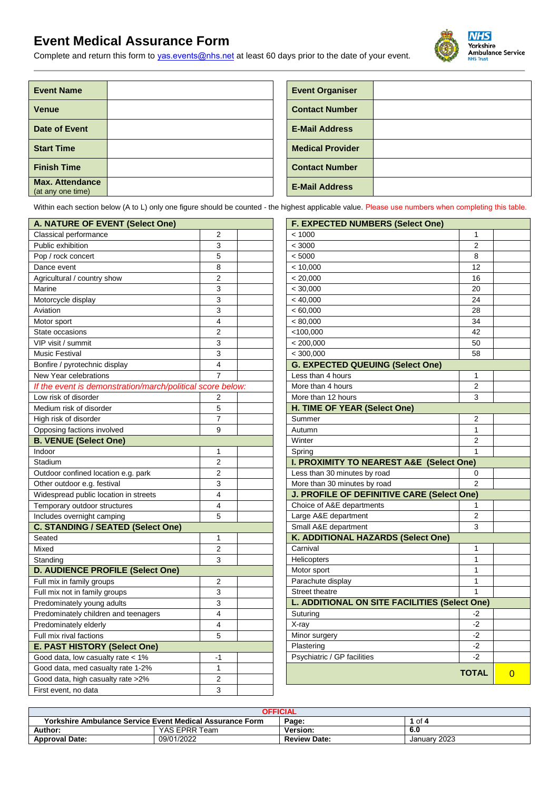# **Event Medical Assurance Form**

Complete and return this form to [yas.events@nhs.net](mailto:events@yas.nhs.uk) at least 60 days prior to the date of your event*.* 



| <b>Event Name</b>                           |  | <b>Event Organiser</b>  |
|---------------------------------------------|--|-------------------------|
| <b>Venue</b>                                |  | <b>Contact Number</b>   |
| Date of Event                               |  | <b>E-Mail Address</b>   |
| <b>Start Time</b>                           |  | <b>Medical Provider</b> |
| <b>Finish Time</b>                          |  | <b>Contact Number</b>   |
| <b>Max. Attendance</b><br>(at any one time) |  | <b>E-Mail Address</b>   |

| <b>Event Organiser</b>  |  |
|-------------------------|--|
| <b>Contact Number</b>   |  |
| <b>E-Mail Address</b>   |  |
| <b>Medical Provider</b> |  |
| <b>Contact Number</b>   |  |
| <b>E-Mail Address</b>   |  |
|                         |  |

Within each section below (A to L) only one figure should be counted - the highest applicable value. Please use numbers when completing this table.

| A. NATURE OF EVENT (Select One)                            |                | <b>F. EXPECTED NUMBERS (Select One)</b>             |
|------------------------------------------------------------|----------------|-----------------------------------------------------|
| Classical performance                                      | 2              | < 1000<br>1                                         |
| Public exhibition                                          | 3              | $\overline{2}$<br>< 3000                            |
| Pop / rock concert                                         | 5              | 8<br>< 5000                                         |
| Dance event                                                | 8              | < 10,000<br>12                                      |
| Agricultural / country show                                | 2              | < 20,000<br>16                                      |
| Marine                                                     | 3              | < 30,000<br>20                                      |
| Motorcycle display                                         | 3              | < 40,000<br>24                                      |
| Aviation                                                   | 3              | < 60,000<br>28                                      |
| Motor sport                                                | 4              | < 80,000<br>34                                      |
| State occasions                                            | 2              | $<$ 100,000<br>42                                   |
| VIP visit / summit                                         | 3              | < 200,000<br>50                                     |
| <b>Music Festival</b>                                      | 3              | 58<br>< 300,000                                     |
| Bonfire / pyrotechnic display                              | 4              | <b>G. EXPECTED QUEUING (Select One)</b>             |
| New Year celebrations                                      | 7              | Less than 4 hours<br>$\mathbf{1}$                   |
| If the event is demonstration/march/political score below: |                | $\overline{2}$<br>More than 4 hours                 |
| Low risk of disorder                                       | $\overline{2}$ | 3<br>More than 12 hours                             |
| Medium risk of disorder                                    | 5              | H. TIME OF YEAR (Select One)                        |
| High risk of disorder                                      | 7              | $\mathbf 2$<br>Summer                               |
| Opposing factions involved                                 | 9              | $\mathbf{1}$<br>Autumn                              |
| <b>B. VENUE (Select One)</b>                               |                | Winter<br>$\overline{2}$                            |
| Indoor                                                     | 1              | $\mathbf{1}$<br>Spring                              |
| Stadium                                                    | $\overline{2}$ | <b>I. PROXIMITY TO NEAREST A&amp;E (Select One)</b> |
| Outdoor confined location e.g. park                        | $\overline{2}$ | Less than 30 minutes by road<br>0                   |
| Other outdoor e.g. festival                                | 3              | More than 30 minutes by road<br>$\overline{2}$      |
| Widespread public location in streets                      | 4              | J. PROFILE OF DEFINITIVE CARE (Select One)          |
| Temporary outdoor structures                               | 4              | Choice of A&E departments<br>1                      |
| Includes overnight camping                                 | 5              | Large A&E department<br>$\overline{2}$              |
| <b>C. STANDING / SEATED (Select One)</b>                   |                | Small A&E department<br>3                           |
| Seated                                                     | 1              | K. ADDITIONAL HAZARDS (Select One)                  |
| Mixed                                                      | $\overline{2}$ | Carnival<br>$\mathbf{1}$                            |
| Standing                                                   | 3              | $\mathbf{1}$<br>Helicopters                         |
| <b>D. AUDIENCE PROFILE (Select One)</b>                    |                | $\mathbf{1}$<br>Motor sport                         |
| Full mix in family groups                                  | $\overline{2}$ | Parachute display<br>$\mathbf{1}$                   |
| Full mix not in family groups                              | 3              | $\mathbf{1}$<br>Street theatre                      |
| Predominately young adults                                 | 3              | L. ADDITIONAL ON SITE FACILITIES (Select Or         |
| Predominately children and teenagers                       | 4              | Suturing<br>$-2$                                    |
| Predominately elderly                                      | 4              | X-ray<br>$-2$                                       |
| Full mix rival factions                                    | 5              | Minor surgery<br>-2                                 |
| E. PAST HISTORY (Select One)                               |                | $-2$<br>Plastering                                  |
| Good data, low casualty rate < 1%                          | -1             | Psychiatric / GP facilities<br>$-2$                 |
| Good data, med casualty rate 1-2%                          | $\mathbf{1}$   | <b>TOT</b>                                          |
| Good data, high casualty rate >2%                          | 2              |                                                     |
| First event, no data                                       | 3              |                                                     |
|                                                            |                |                                                     |

| <b>F. EXPECTED NUMBERS (Select One)</b>       |                |   |  |  |  |  |
|-----------------------------------------------|----------------|---|--|--|--|--|
| < 1000                                        | 1              |   |  |  |  |  |
| < 3000                                        | $\overline{2}$ |   |  |  |  |  |
| < 5000                                        | 8              |   |  |  |  |  |
| < 10,000                                      | 12             |   |  |  |  |  |
| < 20,000                                      | 16             |   |  |  |  |  |
| < 30,000                                      | 20             |   |  |  |  |  |
| < 40,000                                      | 24             |   |  |  |  |  |
| < 60,000                                      | 28             |   |  |  |  |  |
| < 80,000                                      | 34             |   |  |  |  |  |
| $<$ 100,000                                   | 42             |   |  |  |  |  |
| < 200,000                                     | 50             |   |  |  |  |  |
| < 300,000                                     | 58             |   |  |  |  |  |
| <b>G. EXPECTED QUEUING (Select One)</b>       |                |   |  |  |  |  |
| Less than 4 hours                             | 1              |   |  |  |  |  |
| More than 4 hours                             | 2              |   |  |  |  |  |
| More than 12 hours                            | 3              |   |  |  |  |  |
| H. TIME OF YEAR (Select One)                  |                |   |  |  |  |  |
| Summer                                        | 2              |   |  |  |  |  |
| Autumn                                        | 1              |   |  |  |  |  |
| Winter                                        | $\overline{2}$ |   |  |  |  |  |
| Spring                                        | 1              |   |  |  |  |  |
| I. PROXIMITY TO NEAREST A&E (Select One)      |                |   |  |  |  |  |
| Less than 30 minutes by road                  | 0              |   |  |  |  |  |
| More than 30 minutes by road                  | 2              |   |  |  |  |  |
| J. PROFILE OF DEFINITIVE CARE (Select One)    |                |   |  |  |  |  |
| Choice of A&E departments                     | 1              |   |  |  |  |  |
| Large A&E department                          | 2              |   |  |  |  |  |
| Small A&E department                          | 3              |   |  |  |  |  |
| K. ADDITIONAL HAZARDS (Select One)            |                |   |  |  |  |  |
| Carnival                                      | 1<br>1         |   |  |  |  |  |
| Helicopters                                   | 1              |   |  |  |  |  |
| Motor sport                                   | 1              |   |  |  |  |  |
| Parachute display<br><b>Street theatre</b>    | 1              |   |  |  |  |  |
| L. ADDITIONAL ON SITE FACILITIES (Select One) |                |   |  |  |  |  |
| Suturing                                      | -2             |   |  |  |  |  |
| X-ray                                         | $-2$           |   |  |  |  |  |
| Minor surgery                                 | -2             |   |  |  |  |  |
| Plastering                                    | $-2$           |   |  |  |  |  |
| Psychiatric / GP facilities                   | $-2$           |   |  |  |  |  |
|                                               |                |   |  |  |  |  |
|                                               | <b>TOTAL</b>   | 0 |  |  |  |  |

| <b>OFFICIAL</b>                                                           |               |                     |              |  |  |
|---------------------------------------------------------------------------|---------------|---------------------|--------------|--|--|
| Yorkshire Ambulance Service Event Medical Assurance Form<br>Page:<br>of 4 |               |                     |              |  |  |
| Author:                                                                   | YAS EPRR Team | Version:            | 6.0          |  |  |
| <b>Approval Date:</b>                                                     | 09/01/2022    | <b>Review Date:</b> | January 2023 |  |  |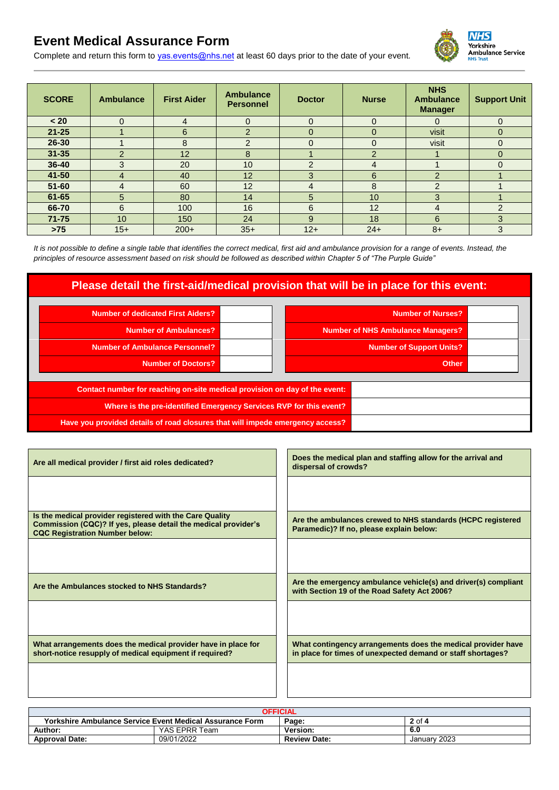# **Event Medical Assurance Form**

Complete and return this form to [yas.events@nhs.net](mailto:events@yas.nhs.uk) at least 60 days prior to the date of your event*.* 

| <b>SCORE</b> | <b>Ambulance</b> | <b>First Aider</b> | <b>Ambulance</b><br><b>Personnel</b> | <b>Doctor</b>  | <b>Nurse</b>   | <b>NHS</b><br><b>Ambulance</b><br><b>Manager</b> | <b>Support Unit</b> |
|--------------|------------------|--------------------|--------------------------------------|----------------|----------------|--------------------------------------------------|---------------------|
| < 20         | $\Omega$         | 4                  | $\Omega$                             | $\Omega$       | $\Omega$       | $\Omega$                                         | $\Omega$            |
| $21 - 25$    |                  | 6                  | $\overline{2}$                       | $\Omega$       | 0              | visit                                            | $\Omega$            |
| 26-30        |                  | 8                  | $\overline{2}$                       | $\Omega$       | $\Omega$       | visit                                            | $\Omega$            |
| $31 - 35$    | $\overline{2}$   | 12                 | 8                                    |                | $\overline{2}$ |                                                  | $\mathbf 0$         |
| $36 - 40$    | 3                | 20                 | 10                                   | 2              | 4              |                                                  | $\Omega$            |
| 41-50        | 4                | 40                 | 12                                   | 3              | 6              | $\mathcal{P}$                                    |                     |
| $51 - 60$    | 4                | 60                 | 12                                   | $\overline{4}$ | 8              | 2                                                |                     |
| $61 - 65$    | 5                | 80                 | 14                                   | 5              | 10             | 3                                                |                     |
| 66-70        | 6                | 100                | 16                                   | 6              | 12             | 4                                                | $\overline{2}$      |
| $71 - 75$    | 10               | 150                | 24                                   | 9              | 18             | 6                                                | 3                   |
| $>75$        | $15+$            | $200+$             | $35+$                                | $12+$          | $24+$          | $8+$                                             | 3                   |

*It is not possible to define a single table that identifies the correct medical, first aid and ambulance provision for a range of events. Instead, the principles of resource assessment based on risk should be followed as described within Chapter 5 of "The Purple Guide"*

### **Please detail the first-aid/medical provision that will be in place for this event:**

| <b>Number of dedicated First Aiders?</b>                                      | <b>Number of Nurses?</b>                 |
|-------------------------------------------------------------------------------|------------------------------------------|
| Number of Ambulances?                                                         | <b>Number of NHS Ambulance Managers?</b> |
| <b>Number of Ambulance Personnel?</b>                                         | Number of Support Units?                 |
| <b>Number of Doctors?</b>                                                     | <b>Other</b>                             |
| Contact number for reaching on-site medical provision on day of the event:    |                                          |
| Where is the pre-identified Emergency Services RVP for this event?            |                                          |
| Have you provided details of road closures that will impede emergency access? |                                          |

| Are all medical provider / first aid roles dedicated?                                                                                                               | Does the medical plan and staffing allow for the arrival and<br>dispersal of crowds?                                        |
|---------------------------------------------------------------------------------------------------------------------------------------------------------------------|-----------------------------------------------------------------------------------------------------------------------------|
|                                                                                                                                                                     |                                                                                                                             |
| Is the medical provider registered with the Care Quality<br>Commission (CQC)? If yes, please detail the medical provider's<br><b>CQC Registration Number below:</b> | Are the ambulances crewed to NHS standards (HCPC registered<br>Paramedic)? If no, please explain below:                     |
|                                                                                                                                                                     |                                                                                                                             |
| Are the Ambulances stocked to NHS Standards?                                                                                                                        | Are the emergency ambulance vehicle(s) and driver(s) compliant<br>with Section 19 of the Road Safety Act 2006?              |
|                                                                                                                                                                     |                                                                                                                             |
| What arrangements does the medical provider have in place for<br>short-notice resupply of medical equipment if required?                                            | What contingency arrangements does the medical provider have<br>in place for times of unexpected demand or staff shortages? |
|                                                                                                                                                                     |                                                                                                                             |

| <b>OFFICIAL</b>                                          |               |                     |              |  |
|----------------------------------------------------------|---------------|---------------------|--------------|--|
| Yorkshire Ambulance Service Event Medical Assurance Form |               | Page:               | $2$ of 4     |  |
| Author:                                                  | YAS EPRR Team | <b>Version:</b>     | 6.0          |  |
| <b>Approval Date:</b>                                    | 09/01/2022    | <b>Review Date:</b> | January 2023 |  |

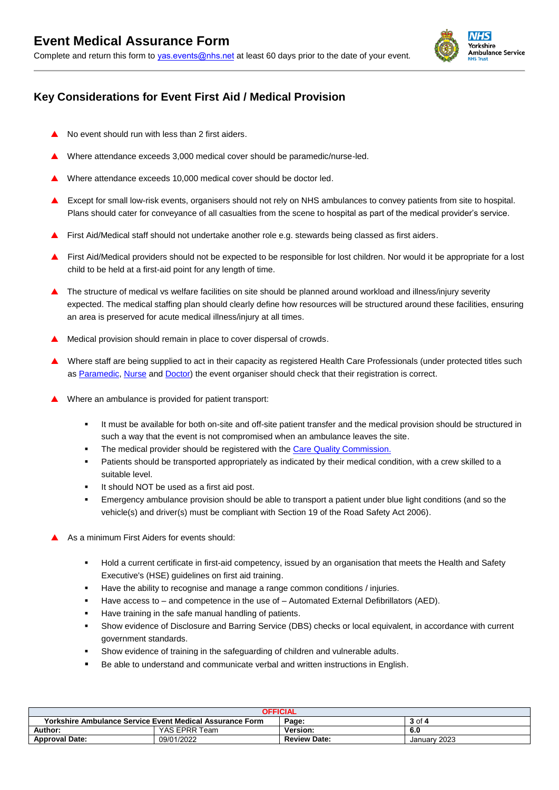

## **Key Considerations for Event First Aid / Medical Provision**

- No event should run with less than 2 first aiders.
- Where attendance exceeds 3,000 medical cover should be paramedic/nurse-led.
- Where attendance exceeds 10,000 medical cover should be doctor led.
- Except for small low-risk events, organisers should not rely on NHS ambulances to convey patients from site to hospital. Plans should cater for conveyance of all casualties from the scene to hospital as part of the medical provider's service.
- First Aid/Medical staff should not undertake another role e.g. stewards being classed as first aiders.
- First Aid/Medical providers should not be expected to be responsible for lost children. Nor would it be appropriate for a lost child to be held at a first-aid point for any length of time.
- ▲ The structure of medical vs welfare facilities on site should be planned around workload and illness/injury severity expected. The medical staffing plan should clearly define how resources will be structured around these facilities, ensuring an area is preserved for acute medical illness/injury at all times.
- Medical provision should remain in place to cover dispersal of crowds.
- Where staff are being supplied to act in their capacity as registered Health Care Professionals (under protected titles such as [Paramedic,](http://www.hpc-uk.org/check/) [Nurse](https://www.nmc.org.uk/registration/search-the-register/) and [Doctor\)](https://www.gmc-uk.org/doctors/register/LRMP.asp) the event organiser should check that their registration is correct.
- Where an ambulance is provided for patient transport:
	- It must be available for both on-site and off-site patient transfer and the medical provision should be structured in such a way that the event is not compromised when an ambulance leaves the site.
	- The medical provider should be registered with the [Care Quality Commission.](http://www.cqc.org.uk/)
	- Patients should be transported appropriately as indicated by their medical condition, with a crew skilled to a suitable level.
	- It should NOT be used as a first aid post.
	- Emergency ambulance provision should be able to transport a patient under blue light conditions (and so the vehicle(s) and driver(s) must be compliant with Section 19 of the Road Safety Act 2006).
- As a minimum First Aiders for events should:
	- Hold a current certificate in first-aid competency, issued by an organisation that meets the Health and Safety Executive's (HSE) guidelines on first aid training.
	- Have the ability to recognise and manage a range common conditions / injuries.
	- Have access to and competence in the use of Automated External Defibrillators (AED).
	- Have training in the safe manual handling of patients.
	- Show evidence of Disclosure and Barring Service (DBS) checks or local equivalent, in accordance with current government standards.
	- Show evidence of training in the safeguarding of children and vulnerable adults.
	- Be able to understand and communicate verbal and written instructions in English.

| <b>OFFICIAL</b>          |                                                          |                     |              |  |
|--------------------------|----------------------------------------------------------|---------------------|--------------|--|
|                          | Yorkshire Ambulance Service Event Medical Assurance Form | Page:               | 3 of 4       |  |
| Author:<br>YAS EPRR Team |                                                          | <b>Version:</b>     | 6.0          |  |
| <b>Approval Date:</b>    | 09/01/2022                                               | <b>Review Date:</b> | January 2023 |  |